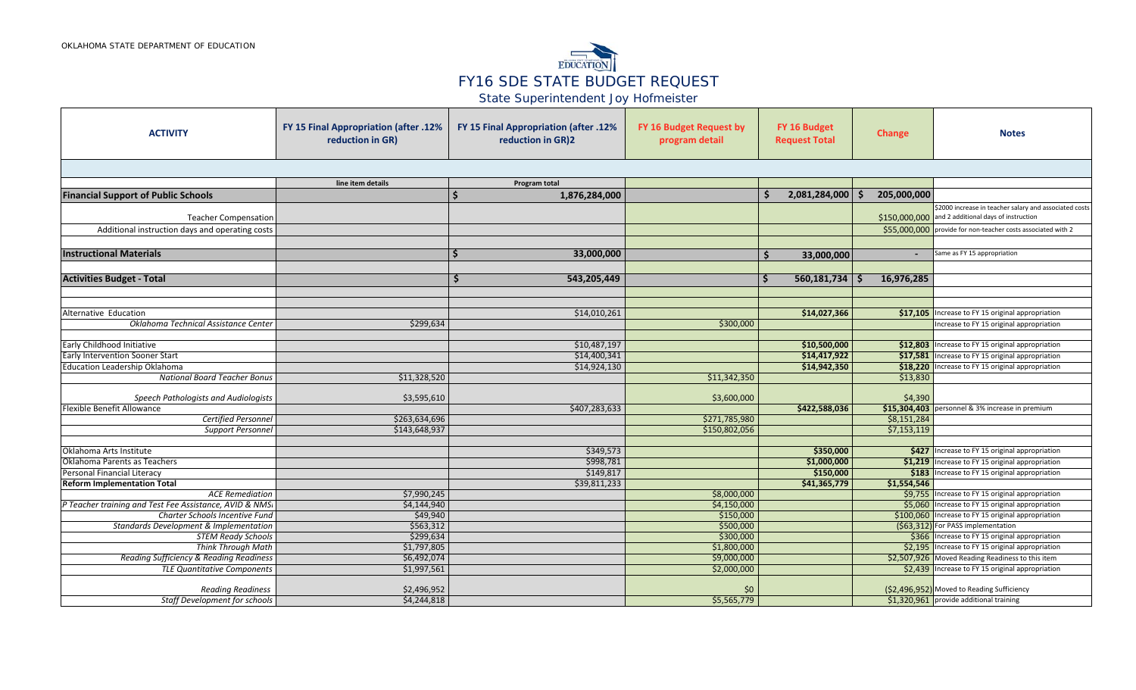

State Superintendent Joy Hofmeister

| <b>ACTIVITY</b>                                         | FY 15 Final Appropriation (after .12%<br>reduction in GR) | FY 15 Final Appropriation (after .12%<br>reduction in GR)2 | FY 16 Budget Request by<br>program detail | FY 16 Budget<br><b>Request Total</b> | Change                     | <b>Notes</b>                                                                          |
|---------------------------------------------------------|-----------------------------------------------------------|------------------------------------------------------------|-------------------------------------------|--------------------------------------|----------------------------|---------------------------------------------------------------------------------------|
|                                                         |                                                           |                                                            |                                           |                                      |                            |                                                                                       |
|                                                         | line item details                                         | Program total                                              |                                           |                                      |                            |                                                                                       |
| <b>Financial Support of Public Schools</b>              |                                                           | 1,876,284,000                                              |                                           | 2,081,284,000                        | 205,000,000                |                                                                                       |
|                                                         |                                                           |                                                            |                                           |                                      |                            | \$2000 increase in teacher salary and associated costs                                |
| <b>Teacher Compensation</b>                             |                                                           |                                                            |                                           |                                      |                            | \$150,000,000 and 2 additional days of instruction                                    |
| Additional instruction days and operating costs         |                                                           |                                                            |                                           |                                      |                            | \$55,000,000 provide for non-teacher costs associated with 2                          |
|                                                         |                                                           |                                                            |                                           |                                      |                            |                                                                                       |
| <b>Instructional Materials</b>                          |                                                           | 33,000,000                                                 |                                           | 33,000,000<br>Ś                      | $\overline{\phantom{0}}$   | Same as FY 15 appropriation                                                           |
|                                                         |                                                           |                                                            |                                           |                                      |                            |                                                                                       |
| <b>Activities Budget - Total</b>                        |                                                           | 543,205,449                                                |                                           | 560,181,734                          | 16,976,285<br><b>S</b>     |                                                                                       |
|                                                         |                                                           |                                                            |                                           |                                      |                            |                                                                                       |
|                                                         |                                                           |                                                            |                                           |                                      |                            |                                                                                       |
| Alternative Education                                   |                                                           | \$14,010,261                                               |                                           | \$14,027,366                         | \$17,105                   | Increase to FY 15 original appropriation                                              |
| Oklahoma Technical Assistance Center                    | \$299,634                                                 |                                                            | \$300,000                                 |                                      |                            | Increase to FY 15 original appropriation                                              |
|                                                         |                                                           |                                                            |                                           |                                      |                            |                                                                                       |
| Early Childhood Initiative                              |                                                           | \$10,487,197                                               |                                           | \$10,500,000                         |                            | \$12,803 Increase to FY 15 original appropriation                                     |
| <b>Early Intervention Sooner Start</b>                  |                                                           | \$14,400,341                                               |                                           | \$14,417,922                         |                            | \$17,581 Increase to FY 15 original appropriation                                     |
| <b>Education Leadership Oklahoma</b>                    |                                                           | \$14,924,130                                               |                                           | \$14,942,350                         |                            | \$18,220 Increase to FY 15 original appropriation                                     |
| <b>National Board Teacher Bonus</b>                     | \$11,328,520                                              |                                                            | \$11,342,350                              |                                      | \$13,830                   |                                                                                       |
|                                                         |                                                           |                                                            |                                           |                                      |                            |                                                                                       |
| Speech Pathologists and Audiologists                    | \$3,595,610                                               |                                                            | \$3,600,000                               |                                      | \$4,390                    |                                                                                       |
| Flexible Benefit Allowance                              |                                                           | \$407,283,633                                              |                                           | \$422,588,036                        |                            | \$15,304,403 personnel & 3% increase in premium                                       |
| <b>Certified Personnel</b><br><b>Support Personnel</b>  | \$263,634,696<br>\$143,648,937                            |                                                            | \$271,785,980<br>\$150,802,056            |                                      | \$8,151,284<br>\$7,153,119 |                                                                                       |
|                                                         |                                                           |                                                            |                                           |                                      |                            |                                                                                       |
| Oklahoma Arts Institute                                 |                                                           | \$349,573                                                  |                                           | \$350,000                            |                            | \$427 Increase to FY 15 original appropriation                                        |
| Oklahoma Parents as Teachers                            |                                                           | \$998,781                                                  |                                           | \$1,000,000                          |                            | \$1,219 Increase to FY 15 original appropriation                                      |
| Personal Financial Literacy                             |                                                           | \$149,817                                                  |                                           | \$150,000                            | \$183                      | Increase to FY 15 original appropriation                                              |
| <b>Reform Implementation Total</b>                      |                                                           | \$39,811,233                                               |                                           | \$41,365,779                         | \$1,554,546                |                                                                                       |
| <b>ACE Remediation</b>                                  | \$7,990,245                                               |                                                            | \$8,000,000                               |                                      |                            | \$9,755   Increase to FY 15 original appropriation                                    |
| P Teacher training and Test Fee Assistance, AVID & NMSI | \$4,144,940                                               |                                                            | \$4,150,000                               |                                      |                            | \$5,060 Increase to FY 15 original appropriation                                      |
| Charter Schools Incentive Fund                          | \$49,940                                                  |                                                            | \$150,000                                 |                                      |                            | \$100,060 Increase to FY 15 original appropriation                                    |
| <b>Standards Development &amp; Implementation</b>       | \$563,312                                                 |                                                            | \$500,000                                 |                                      |                            | (\$63,312) For PASS implementation                                                    |
| <b>STEM Ready Schools</b>                               | \$299,634                                                 |                                                            | \$300,000                                 |                                      |                            | \$366 Increase to FY 15 original appropriation                                        |
| <b>Think Through Math</b>                               | \$1,797,805                                               |                                                            | \$1,800,000                               |                                      |                            | \$2,195 Increase to FY 15 original appropriation                                      |
| Reading Sufficiency & Reading Readiness                 | \$6,492,074                                               |                                                            | \$9,000,000                               |                                      |                            | \$2,507,926 Moved Reading Readiness to this item                                      |
| <b>TLE Quantitative Components</b>                      | \$1,997,561                                               |                                                            | \$2,000,000                               |                                      |                            | \$2,439 Increase to FY 15 original appropriation                                      |
|                                                         |                                                           |                                                            |                                           |                                      |                            |                                                                                       |
| <b>Reading Readiness</b>                                | \$2,496,952                                               |                                                            | \$0                                       |                                      |                            | (\$2,496,952) Moved to Reading Sufficiency<br>\$1,320,961 provide additional training |
| Staff Development for schools                           | \$4,244,818                                               |                                                            | \$5,565,779                               |                                      |                            |                                                                                       |